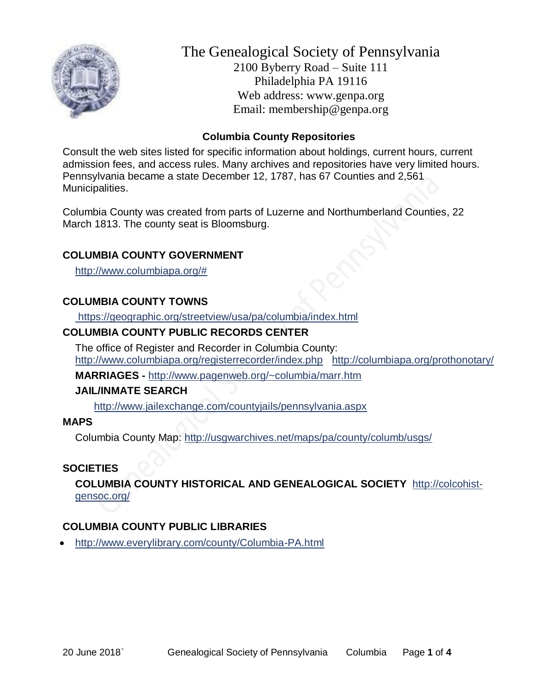

# The Genealogical Society of Pennsylvania 2100 Byberry Road – Suite 111 Philadelphia PA 19116 Web address: www.genpa.org Email: membership@genpa.org

# **Columbia County Repositories**

Consult the web sites listed for specific information about holdings, current hours, current admission fees, and access rules. Many archives and repositories have very limited hours. Pennsylvania became a state December 12, 1787, has 67 Counties and 2,561 Municipalities.

Columbia County was created from parts of Luzerne and Northumberland Counties, 22 March 1813. The county seat is Bloomsburg.

# **COLUMBIA COUNTY GOVERNMENT**

[http://www.columbiapa.org/#](http://www.columbiapa.org/%23)

## **COLUMBIA COUNTY TOWNS**

<https://geographic.org/streetview/usa/pa/columbia/index.html>

# **COLUMBIA COUNTY PUBLIC RECORDS CENTER**

The office of Register and Recorder in Columbia County: <http://www.columbiapa.org/registerrecorder/index.php><http://columbiapa.org/prothonotary/>

**MARRIAGES -** <http://www.pagenweb.org/~columbia/marr.htm>

## **JAIL/INMATE SEARCH**

<http://www.jailexchange.com/countyjails/pennsylvania.aspx>

#### **MAPS**

Columbia County Map:<http://usgwarchives.net/maps/pa/county/columb/usgs/>

## **SOCIETIES**

**COLUMBIA COUNTY HISTORICAL AND GENEALOGICAL SOCIETY** [http://colcohist](http://colcohist-gensoc.org/)[gensoc.org/](http://colcohist-gensoc.org/)

## **COLUMBIA COUNTY PUBLIC LIBRARIES**

• <http://www.everylibrary.com/county/Columbia-PA.html>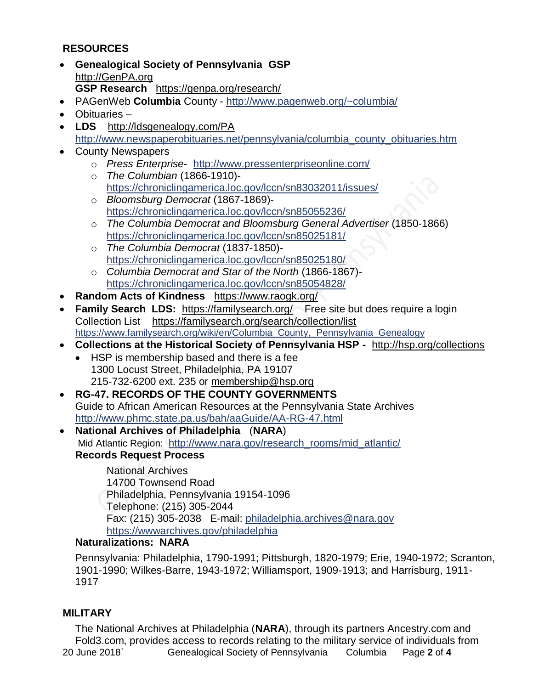# **RESOURCES**

- **Genealogical Society of Pennsylvania GSP** [http://GenPA.org](http://genpa.org/) **GSP Research** <https://genpa.org/research/>
- PAGenWeb **Columbia** County <http://www.pagenweb.org/~columbia/>
- Obituaries –
- **LDS** <http://ldsgenealogy.com/PA> [http://www.newspaperobituaries.net/pennsylvania/columbia\\_county\\_obituaries.htm](http://www.newspaperobituaries.net/pennsylvania/columbia_county_obituaries.htm)
- County Newspapers
	- o *Press Enterprise* <http://www.pressenterpriseonline.com/>
	- o *The Columbian* (1866-1910) <https://chroniclingamerica.loc.gov/lccn/sn83032011/issues/>
	- o *Bloomsburg Democrat* (1867-1869) <https://chroniclingamerica.loc.gov/lccn/sn85055236/>
	- o *The Columbia Democrat and Bloomsburg General Advertiser* (1850-1866) <https://chroniclingamerica.loc.gov/lccn/sn85025181/>
	- o *The Columbia Democrat* (1837-1850) <https://chroniclingamerica.loc.gov/lccn/sn85025180/>
	- o *Columbia Democrat and Star of the North* (1866-1867) <https://chroniclingamerica.loc.gov/lccn/sn85054828/>
- **Random Acts of Kindness** <https://www.raogk.org/>
- **Family Search LDS:** <https://familysearch.org/>Free site but does require a login Collection List <https://familysearch.org/search/collection/list> [https://www.familysearch.org/wiki/en/Columbia\\_County,\\_Pennsylvania\\_Genealogy](https://www.familysearch.org/wiki/en/Columbia_County,_Pennsylvania_Genealogy)
- **Collections at the Historical Society of Pennsylvania HSP -** <http://hsp.org/collections>
	- HSP is membership based and there is a fee 1300 Locust Street, Philadelphia, PA 19107 215-732-6200 ext. 235 or [membership@hsp.org](mailto:membership@hsp.org)
- **RG-47. RECORDS OF THE COUNTY GOVERNMENTS** Guide to African American Resources at the Pennsylvania State Archives <http://www.phmc.state.pa.us/bah/aaGuide/AA-RG-47.html>
- **National Archives of Philadelphia** (**NARA**) Mid Atlantic Region: [http://www.nara.gov/research\\_rooms/mid\\_atlantic/](http://www.nara.gov/research_rooms/mid_atlantic/) **Records Request Process**

National Archives 14700 Townsend Road Philadelphia, Pennsylvania 19154-1096 Telephone: (215) 305-2044 Fax: (215) 305-2038 E-mail: [philadelphia.archives@nara.gov](mailto:philadelphia.archives@nara.gov) <https://wwwarchives.gov/philadelphia>

# **Naturalizations: NARA**

Pennsylvania: Philadelphia, 1790-1991; Pittsburgh, 1820-1979; Erie, 1940-1972; Scranton, 1901-1990; Wilkes-Barre, 1943-1972; Williamsport, 1909-1913; and Harrisburg, 1911- 1917

## **MILITARY**

20 June 2018` Genealogical Society of Pennsylvania Columbia Page **2** of **4** The National Archives at Philadelphia (**NARA**), through its partners Ancestry.com and Fold3.com, provides access to records relating to the military service of individuals from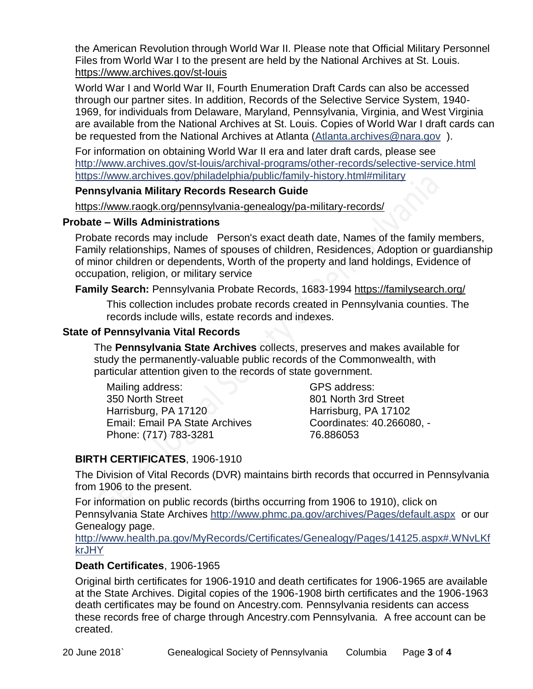the American Revolution through World War II. Please note that Official Military Personnel Files from World War I to the present are held by the National Archives at St. Louis. <https://www.archives.gov/st-louis>

World War I and World War II, Fourth Enumeration Draft Cards can also be accessed through our partner sites. In addition, Records of the Selective Service System, 1940- 1969, for individuals from Delaware, Maryland, Pennsylvania, Virginia, and West Virginia are available from the National Archives at St. Louis. Copies of World War I draft cards can be requested from the National Archives at Atlanta [\(Atlanta.archives@nara.gov](mailto:Atlanta.archives@nara.gov) ).

For information on obtaining World War II era and later draft cards, please see <http://www.archives.gov/st-louis/archival-programs/other-records/selective-service.html> <https://www.archives.gov/philadelphia/public/family-history.html#military>

#### **Pennsylvania Military Records Research Guide**

<https://www.raogk.org/pennsylvania-genealogy/pa-military-records/>

#### **Probate – Wills Administrations**

Probate records may include Person's exact death date, Names of the family members, Family relationships, Names of spouses of children, Residences, Adoption or guardianship of minor children or dependents, Worth of the property and land holdings, Evidence of occupation, religion, or military service

**Family Search:** Pennsylvania Probate Records, 1683-1994 <https://familysearch.org/>

This collection includes probate records created in Pennsylvania counties. The records include wills, estate records and indexes.

#### **State of Pennsylvania Vital Records**

The **Pennsylvania State Archives** collects, preserves and makes available for study the permanently-valuable public records of the Commonwealth, with particular attention given to the records of state government.

Mailing address: 350 North Street Harrisburg, PA 17120 Email: Email PA State Archives Phone: (717) 783-3281

GPS address: 801 North 3rd Street Harrisburg, PA 17102 Coordinates: 40.266080, - 76.886053

# **BIRTH CERTIFICATES**, 1906-1910

The Division of Vital Records (DVR) maintains birth records that occurred in Pennsylvania from 1906 to the present.

For information on public records (births occurring from 1906 to 1910), click on Pennsylvania State Archives <http://www.phmc.pa.gov/archives/Pages/default.aspx>or our Genealogy page.

[http://www.health.pa.gov/MyRecords/Certificates/Genealogy/Pages/14125.aspx#.WNvLKf](http://www.health.pa.gov/MyRecords/Certificates/Genealogy/Pages/14125.aspx#.WNvLKfkrJHY) [krJHY](http://www.health.pa.gov/MyRecords/Certificates/Genealogy/Pages/14125.aspx#.WNvLKfkrJHY)

## **Death Certificates**, 1906-1965

Original birth certificates for 1906-1910 and death certificates for 1906-1965 are available at the State Archives. Digital copies of the 1906-1908 birth certificates and the 1906-1963 death certificates may be found on Ancestry.com. Pennsylvania residents can access these records free of charge through Ancestry.com Pennsylvania. A free account can be created.